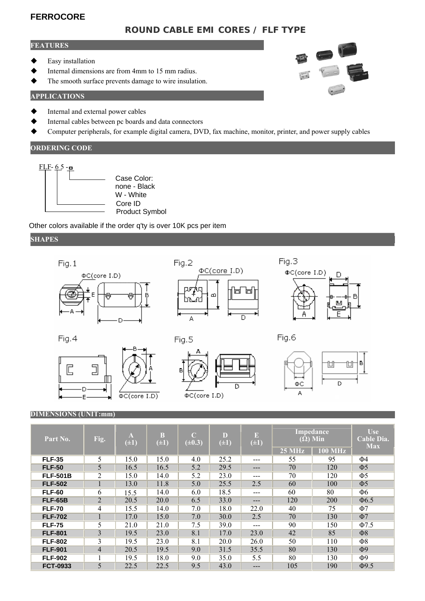# **FERROCORE**

# **ROUND CABLE EMI CORES / FLF TYPE**

#### **FEATURES**

- Easy installation
- Internal dimensions are from 4mm to 15 mm radius.
- The smooth surface prevents damage to wire insulation.

#### **APPLICATIONS**

- Internal and external power cables
- Internal cables between pc boards and data connectors
- Computer peripherals, for example digital camera, DVD, fax machine, monitor, printer, and power supply cables

#### **ORDERING CODE**



Product Symbol none - Black

Other colors available if the order q'ty is over 10K pcs per item

 $\phi$ C(core I.D)

#### **SHAPES**



 $\Phi C$ (core I.D)

#### **DIMENSIONS (UNIT:mm)**

г

E

| Part No.        | Fig.           | A<br>$(\pm 1)$ | <sub>B</sub><br>$(\pm 1)$ | $\Gamma$<br>$(\pm 0.3)$ | D<br>$(\pm 1)$ | $\mathbb{E}$<br>$(\pm 1)$ | <b>Impedance</b><br>$(\Omega)$ Min |           | U <sub>se</sub><br>Cable Dia.<br><b>Max</b> |
|-----------------|----------------|----------------|---------------------------|-------------------------|----------------|---------------------------|------------------------------------|-----------|---------------------------------------------|
|                 |                |                |                           |                         |                |                           | $25 \mathrm{MHz}$                  | $100$ MHz |                                             |
| <b>FLF-35</b>   | 5              | 15.0           | 15.0                      | 4.0                     | 25.2           | $---$                     | 55                                 | 95        | Ф4                                          |
| <b>FLF-50</b>   | 5              | 16.5           | 16.5                      | 5.2                     | 29.5           | $---$                     | 70                                 | 120       | $\Phi$                                      |
| <b>FLF-501B</b> | $\overline{2}$ | 15.0           | 14.0                      | 5.2                     | 23.0           | $---$                     | 70                                 | 120       | $\Phi$ 5                                    |
| <b>FLF-502</b>  |                | 13.0           | 11.8                      | 5.0                     | 25.5           | 2.5                       | 60                                 | 100       | $\Phi$                                      |
| <b>FLF-60</b>   | 6              | 15.5           | 14.0                      | 6.0                     | 18.5           | ---                       | 60                                 | 80        | Ф6                                          |
| <b>FLF-65B</b>  | $\overline{2}$ | 20.5           | 20.0                      | 6.5                     | 33.0           | $---$                     | 120                                | 200       | $\Phi$ 6.5                                  |
| <b>FLF-70</b>   | 4              | 15.5           | 14.0                      | 7.0                     | 18.0           | 22.0                      | 40                                 | 75        | Ф7                                          |
| <b>FLF-702</b>  | $\pm$          | 17.0           | 15.0                      | 7.0                     | 30.0           | 2.5                       | 70                                 | 130       | $\Phi$ 7                                    |
| <b>FLF-75</b>   | 5              | 21.0           | 21.0                      | 7.5                     | 39.0           | ---                       | 90                                 | 150       | $\Phi$ 7.5                                  |
| <b>FLF-801</b>  | 3              | 19.5           | 23.0                      | 8.1                     | 17.0           | 23.0                      | 42                                 | 85        | $\Phi$ 8                                    |
| <b>FLF-802</b>  | 3              | 19.5           | 23.0                      | 8.1                     | 20.0           | 26.0                      | 50                                 | 110       | $\Phi$ 8                                    |
| <b>FLF-901</b>  | $\overline{4}$ | 20.5           | 19.5                      | 9.0                     | 31.5           | 35.5                      | 80                                 | 130       | $\Phi$ <sup>9</sup>                         |
| <b>FLF-902</b>  |                | 19.5           | 18.0                      | 9.0                     | 35.0           | 5.5                       | 80                                 | 130       | Ф9                                          |
| <b>FCT-0933</b> | 5              | 22.5           | 22.5                      | 9.5                     | 43.0           | $---$                     | 105                                | 190       | $\Phi$ 9.5                                  |

A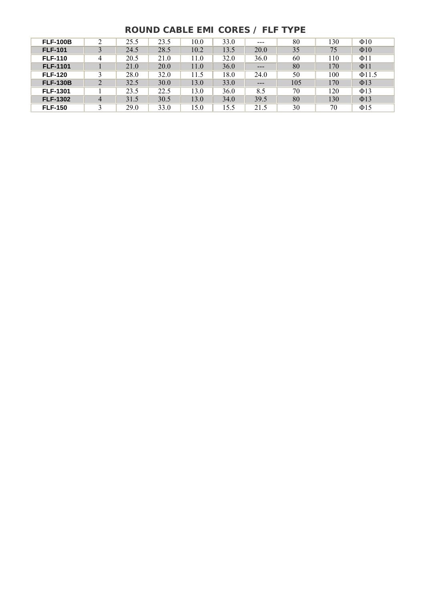# **ROUND CABLE EMI CORES / FLF TYPE**

| <b>FLF-100B</b> | C | 25.5 | 23.5 | 10.0 | 33.0 | ---                        | 80  | 130 | $\Phi$ 10   |
|-----------------|---|------|------|------|------|----------------------------|-----|-----|-------------|
| <b>FLF-101</b>  |   | 24.5 | 28.5 | 10.2 | 13.5 | 20.0                       | 35  | 75  | $\Phi$ 10   |
| <b>FLF-110</b>  |   | 20.5 | 21.0 | 11.0 | 32.0 | 36.0                       | 60  | 110 | $\Phi$ 11   |
| <b>FLF-1101</b> |   | 21.0 | 20.0 | 11.0 | 36.0 | $\qquad \qquad - \qquad -$ | 80  | 170 | $\Phi$ 11   |
| <b>FLF-120</b>  |   | 28.0 | 32.0 | 11.5 | 18.0 | 24.0                       | 50  | 100 | $\Phi$ 11.5 |
| <b>FLF-130B</b> | 2 | 32.5 | 30.0 | 13.0 | 33.0 | $\qquad \qquad - \qquad -$ | 105 | 170 | $\Phi$ 13   |
| <b>FLF-1301</b> |   | 23.5 | 22.5 | 13.0 | 36.0 | 8.5                        | 70  | 120 | $\Phi$ 13   |
| <b>FLF-1302</b> | 4 | 31.5 | 30.5 | 13.0 | 34.0 | 39.5                       | 80  | 130 | $\Phi$ 13   |
| <b>FLF-150</b>  |   | 29.0 | 33.0 | 15.0 | 15.5 | 21.5                       | 30  | 70  | $\Phi$ 15   |